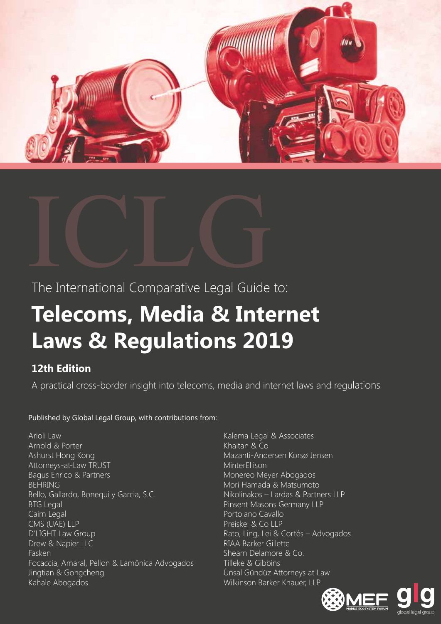



# **Telecoms, Media & Internet Laws & Regulations 2019**

## **12th Edition**

A practical cross-border insight into telecoms, media and internet laws and regulations

### Published by Global Legal Group, with contributions from:

Arioli Law Arnold & Porter Ashurst Hong Kong Attorneys-at-Law TRUST Bagus Enrico & Partners BEHRING Bello, Gallardo, Bonequi y Garcia, S.C. BTG Legal Cairn Legal CMS (UAE) LLP D'LIGHT Law Group Drew & Napier LLC Fasken Focaccia, Amaral, Pellon & Lamônica Advogados Jingtian & Gongcheng Kahale Abogados

Kalema Legal & Associates Khaitan & Co Mazanti-Andersen Korsø Jensen **MinterEllison** Monereo Meyer Abogados Mori Hamada & Matsumoto Nikolinakos – Lardas & Partners LLP Pinsent Masons Germany LLP Portolano Cavallo Preiskel & Co LLP Rato, Ling, Lei & Cortés - Advogados RIAA Barker Gillette Shearn Delamore & Co. Tilleke & Gibbins Ünsal Gündüz Attorneys at Law Wilkinson Barker Knauer, LLP



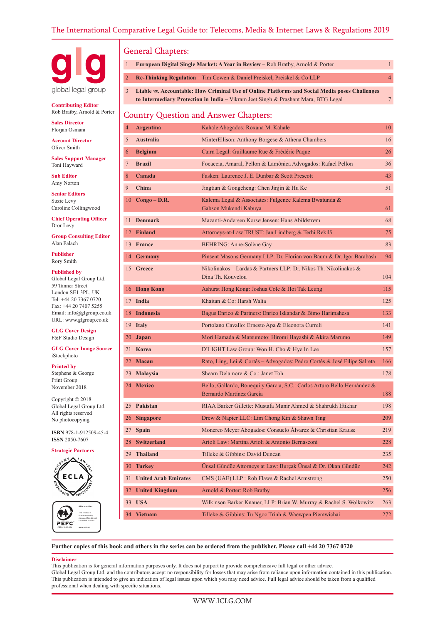

**Contributing Editor** Rob Bratby, Arnold & Porter

**Sales Director** Florjan Osmani

**Account Director** Oliver Smith

**Sales Support Manager** Toni Hayward

**Sub Editor** Amy Norton

**Senior Editors** Suzie Levy Caroline Collingwood

**Chief Operating Officer** Dror Levy

**Group Consulting Editor** Alan Falach

**Publisher** Rory Smith

**Published by**

Global Legal Group Ltd. 59 Tanner Street London SE1 3PL, UK Tel: +44 20 7367 0720 Fax: +44 20 7407 5255 Email: info@glgroup.co.uk URL: www.glgroup.co.uk

**GLG Cover Design** F&F Studio Design

**GLG Cover Image Source** iStockphoto

**Printed by**

Stephens & George Print Group November 2018

Copyright © 2018 Global Legal Group Ltd. All rights reserved No photocopying

**ISBN** 978-1-912509-45-4 **ISSN** 2050-7607

**Strategic Partners**



**PEFC Certified** This product is from sustainably managed forests and PEFC controlled sources PEFC/16-33-254 www.pefc.org

#### General Chapters:

|                | General Guapiers.                            |                                                                                                                                                                                      |                |  |
|----------------|----------------------------------------------|--------------------------------------------------------------------------------------------------------------------------------------------------------------------------------------|----------------|--|
| $\mathbf{1}$   |                                              | European Digital Single Market: A Year in Review - Rob Bratby, Arnold & Porter                                                                                                       | $\mathbf{1}$   |  |
| $\overline{2}$ |                                              | <b>Re-Thinking Regulation</b> – Tim Cowen & Daniel Preiskel, Preiskel & Co LLP                                                                                                       | $\overline{4}$ |  |
| 3              |                                              | Liable vs. Accountable: How Criminal Use of Online Platforms and Social Media poses Challenges<br>to Intermediary Protection in India - Vikram Jeet Singh & Prashant Mara, BTG Legal | 7              |  |
|                | <b>Country Question and Answer Chapters:</b> |                                                                                                                                                                                      |                |  |
| 4              | <b>Argentina</b>                             | Kahale Abogados: Roxana M. Kahale                                                                                                                                                    | 10             |  |
| 5              | <b>Australia</b>                             | MinterEllison: Anthony Borgese & Athena Chambers                                                                                                                                     | 16             |  |
| 6              | <b>Belgium</b>                               | Cairn Legal: Guillaume Rue & Frédéric Paque                                                                                                                                          | 26             |  |
| 7              | <b>Brazil</b>                                | Focaccia, Amaral, Pellon & Lamônica Advogados: Rafael Pellon                                                                                                                         | 36             |  |
| 8              | Canada                                       | Fasken: Laurence J. E. Dunbar & Scott Prescott                                                                                                                                       | 43             |  |
| 9              | China                                        | Jingtian & Gongcheng: Chen Jinjin & Hu Ke                                                                                                                                            | 51             |  |
| 10             | $Congo - D.R.$                               | Kalema Legal & Associates: Fulgence Kalema Bwatunda &<br>Gabson Mukendi Kabuya                                                                                                       | 61             |  |
| 11             | <b>Denmark</b>                               | Mazanti-Andersen Korsø Jensen: Hans Abildstrøm                                                                                                                                       | 68             |  |
|                | 12 Finland                                   | Attorneys-at-Law TRUST: Jan Lindberg & Terhi Rekilä                                                                                                                                  | 75             |  |
| 13             | <b>France</b>                                | BEHRING: Anne-Solène Gay                                                                                                                                                             | 83             |  |
|                | 14 Germany                                   | Pinsent Masons Germany LLP: Dr. Florian von Baum & Dr. Igor Barabash                                                                                                                 | 94             |  |
|                | 15 Greece                                    | Nikolinakos – Lardas & Partners LLP: Dr. Nikos Th. Nikolinakos &<br>Dina Th. Kouvelou                                                                                                | 104            |  |
|                | 16 Hong Kong                                 | Ashurst Hong Kong: Joshua Cole & Hoi Tak Leung                                                                                                                                       | 115            |  |
|                | 17 India                                     | Khaitan & Co: Harsh Walia                                                                                                                                                            | 125            |  |
| 18             | <b>Indonesia</b>                             | Bagus Enrico & Partners: Enrico Iskandar & Bimo Harimahesa                                                                                                                           | 133            |  |
| 19             | <b>Italy</b>                                 | Portolano Cavallo: Ernesto Apa & Eleonora Curreli                                                                                                                                    | 141            |  |
| 20             | Japan                                        | Mori Hamada & Matsumoto: Hiromi Hayashi & Akira Marumo                                                                                                                               | 149            |  |
| 21             | Korea                                        | D'LIGHT Law Group: Won H. Cho & Hye In Lee                                                                                                                                           | 157            |  |
| 22             | <b>Macau</b>                                 | Rato, Ling, Lei & Cortés – Advogados: Pedro Cortés & José Filipe Salreta                                                                                                             | 166            |  |
|                | 23 Malaysia                                  | Shearn Delamore & Co.: Janet Toh                                                                                                                                                     | 178            |  |
|                | 24 Mexico                                    | Bello, Gallardo, Bonequi y Garcia, S.C.: Carlos Arturo Bello Hernández &<br>Bernardo Martínez García                                                                                 | 188            |  |
| 25             | Pakistan                                     | RIAA Barker Gillette: Mustafa Munir Ahmed & Shahrukh Iftikhar                                                                                                                        | 198            |  |
| 26             | <b>Singapore</b>                             | Drew & Napier LLC: Lim Chong Kin & Shawn Ting                                                                                                                                        | 209            |  |
| 27             | <b>Spain</b>                                 | Monereo Meyer Abogados: Consuelo Álvarez & Christian Krause                                                                                                                          | 219            |  |
| 28             | <b>Switzerland</b>                           | Arioli Law: Martina Arioli & Antonio Bernasconi                                                                                                                                      | 228            |  |
| 29             | <b>Thailand</b>                              | Tilleke & Gibbins: David Duncan                                                                                                                                                      | 235            |  |
| 30             | <b>Turkey</b>                                | Ünsal Gündüz Attorneys at Law: Burçak Ünsal & Dr. Okan Gündüz                                                                                                                        | 242            |  |
| 31             | <b>United Arab Emirates</b>                  | CMS (UAE) LLP : Rob Flaws & Rachel Armstrong                                                                                                                                         | 250            |  |
| 32             | <b>United Kingdom</b>                        | Arnold & Porter: Rob Bratby                                                                                                                                                          | 256            |  |
| 33             | <b>USA</b>                                   | Wilkinson Barker Knauer, LLP: Brian W. Murray & Rachel S. Wolkowitz                                                                                                                  | 263            |  |
|                | 34 Vietnam                                   | Tilleke & Gibbins: Tu Ngoc Trinh & Waewpen Piemwichai                                                                                                                                | 272            |  |

**Further copies of this book and others in the series can be ordered from the publisher. Please call +44 20 7367 0720**

#### **Disclaimer**

This publication is for general information purposes only. It does not purport to provide comprehensive full legal or other advice.

Global Legal Group Ltd. and the contributors accept no responsibility for losses that may arise from reliance upon information contained in this publication. This publication is intended to give an indication of legal issues upon which you may need advice. Full legal advice should be taken from a qualified professional when dealing with specific situations.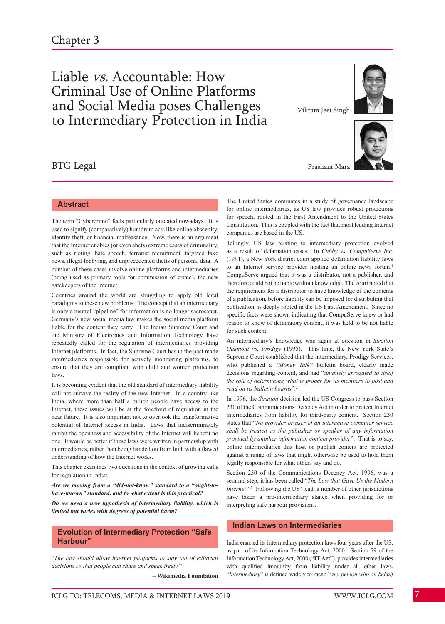## Liable vs. Accountable: How Criminal Use of Online Platforms and Social Media poses Challenges to Intermediary Protection in India

### BTG Legal

**Abstract**

The term "Cybercrime" feels particularly outdated nowadays. It is used to signify (comparatively) humdrum acts like online obscenity, identity theft, or financial malfeasance. Now, there is an argument that the Internet enables (or even abets) extreme cases of criminality, such as rioting, hate speech, terrorist recruitment, targeted fake news, illegal lobbying, and unprecedented thefts of personal data. A number of these cases involve online platforms and intermediaries (being used as primary tools for commission of crime), the new gatekeepers of the Internet.

Countries around the world are struggling to apply old legal paradigms to these new problems. The concept that an intermediary is only a neutral "pipeline" for information is no longer sacrosanct. Germany's new social media law makes the social media platform liable for the content they carry. The Indian Supreme Court and the Ministry of Electronics and Information Technology have repeatedly called for the regulation of intermediaries providing Internet platforms. In fact, the Supreme Court has in the past made intermediaries responsible for actively monitoring platforms, to ensure that they are compliant with child and women protection laws.

It is becoming evident that the old standard of intermediary liability will not survive the reality of the new Internet. In a country like India, where more than half a billion people have access to the Internet, these issues will be at the forefront of regulation in the near future. It is also important not to overlook the transformative potential of Internet access in India. Laws that indiscriminately inhibit the openness and accessibility of the Internet will benefit no one. It would be better if these laws were written in partnership with intermediaries, rather than being handed on from high with a flawed understanding of how the Internet works.

This chapter examines two questions in the context of growing calls for regulation in India:

*Are we moving from a "did-not-know" standard to a "ought-tohave-known" standard, and to what extent is this practical?* 

*Do we need a new hypothesis of intermediary liability, which is limited but varies with degrees of potential harm?* 

#### **Evolution of Intermediary Protection "Safe Harbour"**

"*The law should allow internet platforms to stay out of editorial decisions so that people can share and speak freely.*"

– **Wikimedia Foundation**

Vikram Jeet Singh



Prashant Mara

The United States dominates in a study of governance landscape for online intermediaries, as US law provides robust protections for speech, rooted in the First Amendment to the United States Constitution. This is coupled with the fact that most leading Internet companies are based in the US.

Tellingly, US law relating to intermediary protection evolved as a result of defamation cases. In *Cubby vs. CompuServe Inc.*  (1991), a New York district court applied defamation liability laws to an Internet service provider hosting an online news forum.<sup>1</sup> CompuServe argued that it was a distributor, not a publisher, and therefore could not be liable without knowledge. The court noted that the requirement for a distributor to have knowledge of the contents of a publication, before liability can be imposed for distributing that publication, is deeply rooted in the US First Amendment. Since no specific facts were shown indicating that CompuServe knew or had reason to know of defamatory content, it was held to be not liable for such content.

An intermediary's knowledge was again at question in *Stratton Oakmont vs. Prodigy* (1995). This time, the New York State's Supreme Court established that the intermediary, Prodigy Services, who published a "*Money Talk*" bulletin board, clearly made decisions regarding content, and had "*uniquely arrogated to itself the role of determining what is proper for its members to post and read on its bulletin boards*".<sup>2</sup>

In 1996, the *Stratton* decision led the US Congress to pass Section 230 of the Communications Decency Act in order to protect Internet intermediaries from liability for third-party content. Section 230 states that "*No provider or user of an interactive computer service shall be treated as the publisher or speaker of any information provided by another information content provider*". That is to say, online intermediaries that host or publish content are protected against a range of laws that might otherwise be used to hold them legally responsible for what others say and do.

Section 230 of the Communications Decency Act, 1996, was a seminal step; it has been called "*The Law that Gave Us the Modern Internet*".3 Following the US' lead, a number of other jurisdictions have taken a pro-intermediary stance when providing for or interpreting safe harbour provisions.

#### **Indian Laws on Intermediaries**

India enacted its intermediary protection laws four years after the US, as part of its Information Technology Act, 2000. Section 79 of the Information TechnologyAct, 2000 ("**IT Act**"), providesintermediaries with qualified immunity from liability under all other laws. "*Intermediary*" is defined widely to mean "*any person who on behalf*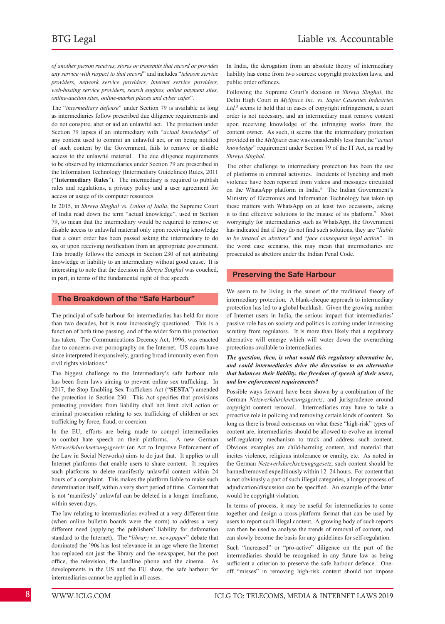*of another person receives, stores or transmits that record or provides any service with respect to that record*" and includes "*telecom service providers, network service providers, internet service providers, web-hosting service providers, search engines, online payment sites, online-auction sites, online-market places and cyber cafes*".

The "*intermediary defense*" under Section 79 is available as long as intermediaries follow prescribed due diligence requirements and do not conspire, abet or aid an unlawful act. The protection under Section 79 lapses if an intermediary with "*actual knowledge*" of any content used to commit an unlawful act, or on being notified of such content by the Government, fails to remove or disable access to the unlawful material. The due diligence requirements to be observed by intermediaries under Section 79 are prescribed in the Information Technology (Intermediary Guidelines) Rules, 2011 ("**Intermediary Rules**"). The intermediary is required to publish rules and regulations, a privacy policy and a user agreement for access or usage of its computer resources.

In 2015, in *Shreya Singhal vs. Union of India*, the Supreme Court of India read down the term "actual knowledge", used in Section 79, to mean that the intermediary would be required to remove or disable access to unlawful material only upon receiving knowledge that a court order has been passed asking the intermediary to do so, or upon receiving notification from an appropriate government. This broadly follows the concept in Section 230 of not attributing knowledge or liability to an intermediary without good cause. It is interesting to note that the decision in *Shreya Singhal* was couched, in part, in terms of the fundamental right of free speech.

#### **The Breakdown of the "Safe Harbour"**

The principal of safe harbour for intermediaries has held for more than two decades, but is now increasingly questioned. This is a function of both time passing, and of the wider form this protection has taken. The Communications Decency Act, 1996, was enacted due to concerns over pornography on the Internet. US courts have since interpreted it expansively, granting broad immunity even from civil rights violations.<sup>4</sup>

The biggest challenge to the Intermediary's safe harbour rule has been from laws aiming to prevent online sex trafficking. In 2017, the Stop Enabling Sex Traffickers Act ("**SESTA**") amended the protection in Section 230. This Act specifies that provisions protecting providers from liability shall not limit civil action or criminal prosecution relating to sex trafficking of children or sex trafficking by force, fraud, or coercion.

In the EU, efforts are being made to compel intermediaries to combat hate speech on their platforms. A new German *Netzwerkdurchsetzungsgesetz* (an Act to Improve Enforcement of the Law in Social Networks) aims to do just that. It applies to all Internet platforms that enable users to share content. It requires such platforms to delete manifestly unlawful content within 24 hours of a complaint. This makes the platform liable to make such determination itself, within a very short period of time. Content that is not 'manifestly' unlawful can be deleted in a longer timeframe, within seven days.

The law relating to intermediaries evolved at a very different time (when online bulletin boards were the norm) to address a very different need (applying the publishers' liability for defamation standard to the Internet). The "*library vs. newspaper*" debate that dominated the '90s has lost relevance in an age where the Internet has replaced not just the library and the newspaper, but the post office, the television, the landline phone and the cinema. As developments in the US and the EU show, the safe harbour for intermediaries cannot be applied in all cases.

In India, the derogation from an absolute theory of intermediary liability has come from two sources: copyright protection laws; and public order offences.

Following the Supreme Court's decision in *Shreya Singhal*, the Delhi High Court in *MySpace Inc. vs. Super Cassettes Industries*  Ltd.<sup>5</sup> seems to hold that in cases of copyright infringement, a court order is not necessary, and an intermediary must remove content upon receiving knowledge of the infringing works from the content owner. As such, it seems that the intermediary protection provided in the *MySpace* case was considerably less than the "*actual knowledge*" requirement under Section 79 of the IT Act, as read by *Shreya Singhal*.

The other challenge to intermediary protection has been the use of platforms in criminal activities. Incidents of lynching and mob violence have been reported from videos and messages circulated on the WhatsApp platform in India.<sup>6</sup> The Indian Government's Ministry of Electronics and Information Technology has taken up these matters with WhatsApp on at least two occasions, asking it to find effective solutions to the misuse of its platform.<sup>7</sup> Most worryingly for intermediaries such as WhatsApp, the Government has indicated that if they do not find such solutions, they are "*liable to be treated as abettors*" and "*face consequent legal action*". In the worst case scenario, this may mean that intermediaries are prosecuted as abettors under the Indian Penal Code.

#### **Preserving the Safe Harbour**

We seem to be living in the sunset of the traditional theory of intermediary protection. A blank-cheque approach to intermediary protection has led to a global backlash. Given the growing number of Internet users in India, the serious impact that intermediaries' passive role has on society and politics is coming under increasing scrutiny from regulators. It is more than likely that a regulatory alternative will emerge which will water down the overarching protections available to intermediaries.

#### *The question, then, is what would this regulatory alternative be, and could intermediaries drive the discussion to an alternative that balances their liability, the freedom of speech of their users, and law enforcement requirements?*

Possible ways forward have been shown by a combination of the German *Netzwerkdurchsetzungsgesetz*, and jurisprudence around copyright content removal. Intermediaries may have to take a proactive role in policing and removing certain kinds of content. So long as there is broad consensus on what these "high-risk" types of content are, intermediaries should be allowed to evolve an internal self-regulatory mechanism to track and address such content. Obvious examples are child-harming content, and material that incites violence, religious intolerance or enmity, etc. As noted in the German *Netzwerkdurchsetzungsgesetz*, such content should be banned/removed expeditiously within 12–24 hours. For content that is not obviously a part of such illegal categories, a longer process of adjudication/discussion can be specified. An example of the latter would be copyright violation.

In terms of process, it may be useful for intermediaries to come together and design a cross-platform format that can be used by users to report such illegal content. A growing body of such reports can then be used to analyse the trends of removal of content, and can slowly become the basis for any guidelines for self-regulation.

Such "increased" or "pro-active" diligence on the part of the intermediaries should be recognised in any future law as being sufficient a criterion to preserve the safe harbour defence. Oneoff "misses" in removing high-risk content should not impose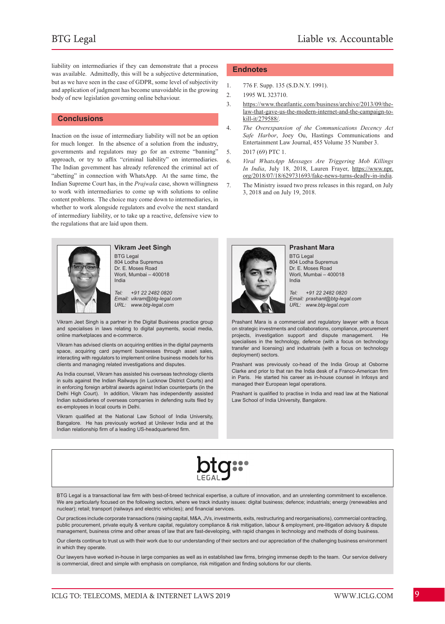liability on intermediaries if they can demonstrate that a process was available. Admittedly, this will be a subjective determination, but as we have seen in the case of GDPR, some level of subjectivity and application of judgment has become unavoidable in the growing body of new legislation governing online behaviour.

#### **Conclusions**

Inaction on the issue of intermediary liability will not be an option for much longer. In the absence of a solution from the industry, governments and regulators may go for an extreme "banning" approach, or try to affix "criminal liability" on intermediaries. The Indian government has already referenced the criminal act of "abetting" in connection with WhatsApp. At the same time, the Indian Supreme Court has, in the *Prajwala* case, shown willingness to work with intermediaries to come up with solutions to online content problems. The choice may come down to intermediaries, in whether to work alongside regulators and evolve the next standard of intermediary liability, or to take up a reactive, defensive view to the regulations that are laid upon them.



#### **Vikram Jeet Singh**

BTG Legal 804 Lodha Supremus Dr. E. Moses Road Worli, Mumbai – 400018 India

*Tel: +91 22 2482 0820 Email: vikram@btg-legal.com URL: www.btg-legal.com* 

Vikram Jeet Singh is a partner in the Digital Business practice group and specialises in laws relating to digital payments, social media, online marketplaces and e-commerce.

Vikram has advised clients on acquiring entities in the digital payments space, acquiring card payment businesses through asset sales, interacting with regulators to implement online business models for his clients and managing related investigations and disputes.

As India counsel, Vikram has assisted his overseas technology clients in suits against the Indian Railways (in Lucknow District Courts) and in enforcing foreign arbitral awards against Indian counterparts (in the Delhi High Court). In addition, Vikram has independently assisted Indian subsidiaries of overseas companies in defending suits filed by ex-employees in local courts in Delhi.

Vikram qualified at the National Law School of India University, Bangalore. He has previously worked at Unilever India and at the Indian relationship firm of a leading US-headquartered firm.

#### **Endnotes**

- 1. 776 F. Supp. 135 (S.D.N.Y. 1991).
- 2. 1995 WL 323710.
- 3. https://www.theatlantic.com/business/archive/2013/09/thelaw-that-gave-us-the-modern-internet-and-the-campaign-tokill-it/279588/.
- 4. *The Overexpansion of the Communications Decency Act Safe Harbor*, Joey Ou, Hastings Communications and Entertainment Law Journal, 455 Volume 35 Number 3.
- 5. 2017 (69) PTC 1.
- 6. *Viral WhatsApp Messages Are Triggering Mob Killings In India*, July 18, 2018, Lauren Frayer, https://www.npr. org/2018/07/18/629731693/fake-news-turns-deadly-in-india.
- 7. The Ministry issued two press releases in this regard, on July 3, 2018 and on July 19, 2018.



#### **Prashant Mara**

BTG Legal 804 Lodha Supremus Dr. E. Moses Road Worli, Mumbai – 400018 India

*Tel: +91 22 2482 0820 Email: prashant@btg-legal.com URL: www.btg-legal.com* 

Prashant Mara is a commercial and regulatory lawyer with a focus on strategic investments and collaborations, compliance, procurement projects, investigation support and dispute management. He specialises in the technology, defence (with a focus on technology transfer and licensing) and industrials (with a focus on technology deployment) sectors.

Prashant was previously co-head of the India Group at Osborne Clarke and prior to that ran the India desk of a Franco-American firm in Paris. He started his career as in-house counsel in Infosys and managed their European legal operations.

Prashant is qualified to practise in India and read law at the National Law School of India University, Bangalore.



BTG Legal is a transactional law firm with best-of-breed technical expertise, a culture of innovation, and an unrelenting commitment to excellence. We are particularly focused on the following sectors, where we track industry issues: digital business; defence; industrials; energy (renewables and nuclear); retail; transport (railways and electric vehicles); and financial services.

Our practices include corporate transactions (raising capital, M&A, JVs, investments, exits, restructuring and reorganisations), commercial contracting, public procurement, private equity & venture capital, regulatory compliance & risk mitigation, labour & employment, pre-litigation advisory & dispute management, business crime and other areas of law that are fast-developing, with rapid changes in technology and methods of doing business.

Our clients continue to trust us with their work due to our understanding of their sectors and our appreciation of the challenging business environment in which they operate.

Our lawyers have worked in-house in large companies as well as in established law firms, bringing immense depth to the team. Our service delivery is commercial, direct and simple with emphasis on compliance, risk mitigation and finding solutions for our clients.